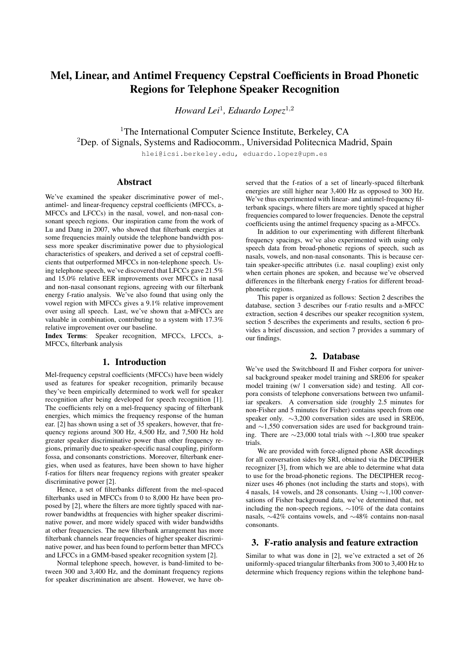# Mel, Linear, and Antimel Frequency Cepstral Coefficients in Broad Phonetic Regions for Telephone Speaker Recognition

*Howard Lei*<sup>1</sup> *, Eduardo Lopez*<sup>1</sup>,<sup>2</sup>

<sup>1</sup>The International Computer Science Institute, Berkeley, CA <sup>2</sup>Dep. of Signals, Systems and Radiocomm., Universidad Politecnica Madrid, Spain

hlei@icsi.berkeley.edu, eduardo.lopez@upm.es

# Abstract

We've examined the speaker discriminative power of mel-, antimel- and linear-frequency cepstral coefficients (MFCCs, a-MFCCs and LFCCs) in the nasal, vowel, and non-nasal consonant speech regions. Our inspiration came from the work of Lu and Dang in 2007, who showed that filterbank energies at some frequencies mainly outside the telephone bandwidth possess more speaker discriminative power due to physiological characteristics of speakers, and derived a set of cepstral coefficients that outperformed MFCCs in non-telephone speech. Using telephone speech, we've discovered that LFCCs gave 21.5% and 15.0% relative EER improvements over MFCCs in nasal and non-nasal consonant regions, agreeing with our filterbank energy f-ratio analysis. We've also found that using only the vowel region with MFCCs gives a 9.1% relative improvement over using all speech. Last, we've shown that a-MFCCs are valuable in combination, contributing to a system with 17.3% relative improvement over our baseline.

Index Terms: Speaker recognition, MFCCs, LFCCs, a-MFCCs, filterbank analysis

## 1. Introduction

Mel-frequency cepstral coefficients (MFCCs) have been widely used as features for speaker recognition, primarily because they've been empirically determined to work well for speaker recognition after being developed for speech recognition [1]. The coefficients rely on a mel-frequency spacing of filterbank energies, which mimics the frequency response of the human ear. [2] has shown using a set of 35 speakers, however, that frequency regions around 300 Hz, 4,500 Hz, and 7,500 Hz hold greater speaker discriminative power than other frequency regions, primarily due to speaker-specific nasal coupling, piriform fossa, and consonants constrictions. Moreover, filterbank energies, when used as features, have been shown to have higher f-ratios for filters near frequency regions with greater speaker discriminative power [2].

Hence, a set of filterbanks different from the mel-spaced filterbanks used in MFCCs from 0 to 8,000 Hz have been proposed by [2], where the filters are more tightly spaced with narrower bandwidths at frequencies with higher speaker discriminative power, and more widely spaced with wider bandwidths at other frequencies. The new filterbank arrangement has more filterbank channels near frequencies of higher speaker discriminative power, and has been found to perform better than MFCCs and LFCCs in a GMM-based speaker recognition system [2].

Normal telephone speech, however, is band-limited to between 300 and 3,400 Hz, and the dominant frequency regions for speaker discrimination are absent. However, we have ob-

served that the f-ratios of a set of linearly-spaced filterbank energies are still higher near 3,400 Hz as opposed to 300 Hz. We've thus experimented with linear- and antimel-frequency filterbank spacings, where filters are more tightly spaced at higher frequencies compared to lower frequencies. Denote the cepstral coefficients using the antimel frequency spacing as a-MFCCs.

In addition to our experimenting with different filterbank frequency spacings, we've also experimented with using only speech data from broad-phonetic regions of speech, such as nasals, vowels, and non-nasal consonants. This is because certain speaker-specific attributes (i.e. nasal coupling) exist only when certain phones are spoken, and because we've observed differences in the filterbank energy f-ratios for different broadphonetic regions.

This paper is organized as follows: Section 2 describes the database, section 3 describes our f-ratio results and a-MFCC extraction, section 4 describes our speaker recognition system, section 5 describes the experiments and results, section 6 provides a brief discussion, and section 7 provides a summary of our findings.

## 2. Database

We've used the Switchboard II and Fisher corpora for universal background speaker model training and SRE06 for speaker model training (w/ 1 conversation side) and testing. All corpora consists of telephone conversations between two unfamiliar speakers. A conversation side (roughly 2.5 minutes for non-Fisher and 5 minutes for Fisher) contains speech from one speaker only. ∼3,200 conversation sides are used in SRE06, and ∼1,550 conversation sides are used for background training. There are ∼23,000 total trials with ∼1,800 true speaker trials.

We are provided with force-aligned phone ASR decodings for all conversation sides by SRI, obtained via the DECIPHER recognizer [3], from which we are able to determine what data to use for the broad-phonetic regions. The DECIPHER recognizer uses 46 phones (not including the starts and stops), with 4 nasals, 14 vowels, and 28 consonants. Using ∼1,100 conversations of Fisher background data, we've determined that, not including the non-speech regions, ∼10% of the data contains nasals, ∼42% contains vowels, and ∼48% contains non-nasal consonants.

#### 3. F-ratio analysis and feature extraction

Similar to what was done in [2], we've extracted a set of 26 uniformly-spaced triangular filterbanks from 300 to 3,400 Hz to determine which frequency regions within the telephone band-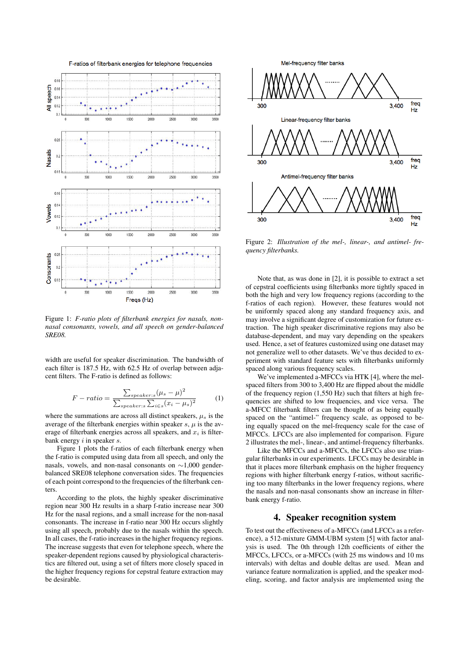

Figure 1: *F-ratio plots of filterbank energies for nasals, nonnasal consonants, vowels, and all speech on gender-balanced SRE08.*

width are useful for speaker discrimination. The bandwidth of each filter is 187.5 Hz, with 62.5 Hz of overlap between adjacent filters. The F-ratio is defined as follows:

$$
F-ratio = \frac{\sum_{speaker:s} (\mu_s - \mu)^2}{\sum_{speaker:s} \sum_{i \in s} (x_i - \mu_s)^2}
$$
 (1)

where the summations are across all distinct speakers,  $\mu_s$  is the average of the filterbank energies within speaker  $s, \mu$  is the average of filterbank energies across all speakers, and  $x_i$  is filterbank energy  $i$  in speaker  $s$ .

Figure 1 plots the f-ratios of each filterbank energy when the f-ratio is computed using data from all speech, and only the nasals, vowels, and non-nasal consonants on ∼1,000 genderbalanced SRE08 telephone conversation sides. The frequencies of each point correspond to the frequencies of the filterbank centers.

According to the plots, the highly speaker discriminative region near 300 Hz results in a sharp f-ratio increase near 300 Hz for the nasal regions, and a small increase for the non-nasal consonants. The increase in f-ratio near 300 Hz occurs slightly using all speech, probably due to the nasals within the speech. In all cases, the f-ratio increases in the higher frequency regions. The increase suggests that even for telephone speech, where the speaker-dependent regions caused by physiological characteristics are filtered out, using a set of filters more closely spaced in the higher frequency regions for cepstral feature extraction may be desirable.



Figure 2: *Illustration of the mel-, linear-, and antimel- frequency filterbanks.*

Note that, as was done in [2], it is possible to extract a set of cepstral coefficients using filterbanks more tightly spaced in both the high and very low frequency regions (according to the f-ratios of each region). However, these features would not be uniformly spaced along any standard frequency axis, and may involve a significant degree of customization for future extraction. The high speaker discriminative regions may also be database-dependent, and may vary depending on the speakers used. Hence, a set of features customized using one dataset may not generalize well to other datasets. We've thus decided to experiment with standard feature sets with filterbanks uniformly spaced along various frequency scales.

We've implemented a-MFCCs via HTK [4], where the melspaced filters from 300 to 3,400 Hz are flipped about the middle of the frequency region (1,550 Hz) such that filters at high frequencies are shifted to low frequencies, and vice versa. The a-MFCC filterbank filters can be thought of as being equally spaced on the "antimel-" frequency scale, as opposed to being equally spaced on the mel-frequency scale for the case of MFCCs. LFCCs are also implemented for comparison. Figure 2 illustrates the mel-, linear-, and antimel-frequency filterbanks.

Like the MFCCs and a-MFCCs, the LFCCs also use triangular filterbanks in our experiments. LFCCs may be desirable in that it places more filterbank emphasis on the higher frequency regions with higher filterbank energy f-ratios, without sacrificing too many filterbanks in the lower frequency regions, where the nasals and non-nasal consonants show an increase in filterbank energy f-ratio.

# 4. Speaker recognition system

To test out the effectiveness of a-MFCCs (and LFCCs as a reference), a 512-mixture GMM-UBM system [5] with factor analysis is used. The 0th through 12th coefficients of either the MFCCs, LFCCs, or a-MFCCs (with 25 ms windows and 10 ms intervals) with deltas and double deltas are used. Mean and variance feature normalization is applied, and the speaker modeling, scoring, and factor analysis are implemented using the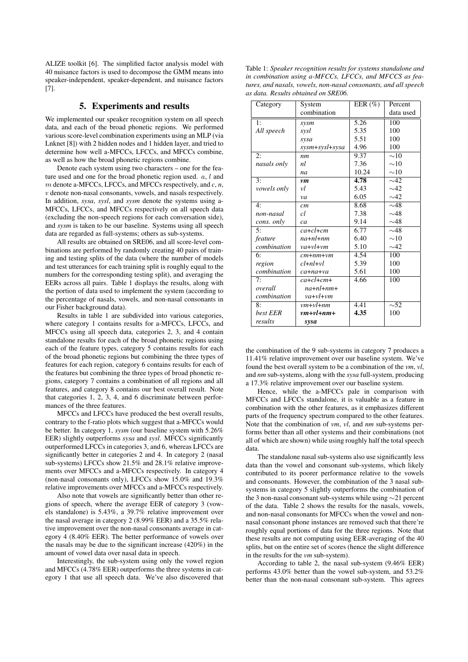ALIZE toolkit [6]. The simplified factor analysis model with 40 nuisance factors is used to decompose the GMM means into speaker-independent, speaker-dependent, and nuisance factors [7].

#### 5. Experiments and results

We implemented our speaker recognition system on all speech data, and each of the broad phonetic regions. We performed various score-level combination experiments using an MLP (via Lnknet [8]) with 2 hidden nodes and 1 hidden layer, and tried to determine how well a-MFCCs, LFCCs, and MFCCs combine, as well as how the broad phonetic regions combine.

Denote each system using two characters – one for the feature used and one for the broad phonetic region used.  $a, l$  and m denote a-MFCCs, LFCCs, and MFCCs respectively, and *c*, *n*, *v* denote non-nasal consonants, vowels, and nasals respectively. In addition, *sysa*, *sysl*, and *sysm* denote the systems using a-MFCCs, LFCCs, and MFCCs respectively on all speech data (excluding the non-speech regions for each conversation side), and *sysm* is taken to be our baseline. Systems using all speech data are regarded as full-systems; others as sub-systems.

All results are obtained on SRE06, and all score-level combinations are performed by randomly creating 40 pairs of training and testing splits of the data (where the number of models and test utterances for each training split is roughly equal to the numbers for the corresponding testing split), and averaging the EERs across all pairs. Table 1 displays the results, along with the portion of data used to implement the system (according to the percentage of nasals, vowels, and non-nasal consonants in our Fisher background data).

Results in table 1 are subdivided into various categories, where category 1 contains results for a-MFCCs, LFCCs, and MFCCs using all speech data, categories 2, 3, and 4 contain standalone results for each of the broad phonetic regions using each of the feature types, category 5 contains results for each of the broad phonetic regions but combining the three types of features for each region, category 6 contains results for each of the features but combining the three types of broad phonetic regions, category 7 contains a combination of all regions and all features, and category 8 contains our best overall result. Note that categories 1, 2, 3, 4, and 6 discriminate between performances of the three features.

MFCCs and LFCCs have produced the best overall results, contrary to the f-ratio plots which suggest that a-MFCCs would be better. In category 1, *sysm* (our baseline system with 5.26% EER) slightly outperforms *sysa* and *sysl*. MFCCs significantly outperformed LFCCs in categories 3, and 6, whereas LFCCs are significantly better in categories 2 and 4. In category 2 (nasal sub-systems) LFCCs show 21.5% and 28.1% relative improvements over MFCCs and a-MFCCs respectively. In category 4 (non-nasal consonants only), LFCCs show 15.0% and 19.3% relative improvements over MFCCs and a-MFCCs respectively.

Also note that vowels are significantly better than other regions of speech, where the average EER of category 3 (vowels standalone) is 5.43%, a 39.7% relative improvement over the nasal average in category 2 (8.99% EER) and a 35.5% relative improvement over the non-nasal consonants average in category 4 (8.40% EER). The better performance of vowels over the nasals may be due to the significant increase (420%) in the amount of vowel data over nasal data in speech.

Interestingly, the sub-system using only the vowel region and MFCCs (4.78% EER) outperforms the three systems in category 1 that use all speech data. We've also discovered that

Table 1: *Speaker recognition results for systems standalone and in combination using a-MFCCs, LFCCs, and MFCCS as features, and nasals, vowels, non-nasal consonants, and all speech as data. Results obtained on SRE06.*

| Category           | System            | EER $(\% )$ | Percent      |
|--------------------|-------------------|-------------|--------------|
|                    | combination       |             | data used    |
| 1:                 | sysm              | 5.26        | 100          |
| All speech         | sysl              | 5.35        | 100          |
|                    | sysa              | 5.51        | 100          |
|                    | sysm+sysl+sysa    | 4.96        | 100          |
| 2:                 | nm                | 9.37        | $\sim10$     |
| nasals only        | nl                | 7.36        | $\sim10$     |
|                    | na                | 10.24       | $\sim\!\!10$ |
| 3:                 | <i>vm</i>         | 4.78        | $\sim$ 42    |
| <i>vowels only</i> | νl                | 5.43        | $\sim$ 42    |
|                    | va                | 6.05        | $\sim$ 42    |
| 4:                 | cm                | 8.68        | $\sim$ 48    |
| non-nasal          | cl                | 7.38        | $\sim$ 48    |
| cons. only         | ca                | 9.14        | $\sim$ 48    |
| 5:                 | $ca + cl + cm$    | 6.77        | $\sim$ 48    |
| feature            | $na+nl+nm$        | 6.40        | $\sim10$     |
| combination        | $va + vl + vn$    | 5.10        | $\sim$ 42    |
| 6:                 | $cm + nm + \nu m$ | 4.54        | 100          |
| region             | $cl+nl+vl$        | 5.39        | 100          |
| combination        | ca+na+va          | 5.61        | 100          |
| 7:                 | $ca + cl + cm +$  | 4.66        | 100          |
| overall            | $na + nl + nm +$  |             |              |
| combination        | $va + vl + vn$    |             |              |
| 8:                 | $vm + vl + nm$    | 4.41        | $\sim$ 52    |
| best EER           | $vm + vl + nm +$  | 4.35        | 100          |
| results            | sysa              |             |              |

the combination of the 9 sub-systems in category 7 produces a 11.41% relative improvement over our baseline system. We've found the best overall system to be a combination of the *vm*, *vl*, and *nm* sub-systems, along with the *sysa* full-system, producing a 17.3% relative improvement over our baseline system.

Hence, while the a-MFCCs pale in comparison with MFCCs and LFCCs standalone, it is valuable as a feature in combination with the other features, as it emphasizes different parts of the frequency spectrum compared to the other features. Note that the combination of *vm*, *vl*, and *nm* sub-systems performs better than all other systems and their combinations (not all of which are shown) while using roughly half the total speech data.

The standalone nasal sub-systems also use significantly less data than the vowel and consonant sub-systems, which likely contributed to its poorer performance relative to the vowels and consonants. However, the combination of the 3 nasal subsystems in category 5 slightly outperforms the combination of the 3 non-nasal consonant sub-systems while using ∼21 percent of the data. Table 2 shows the results for the nasals, vowels, and non-nasal consonants for MFCCs when the vowel and nonnasal consonant phone instances are removed such that there're roughly equal portions of data for the three regions. Note that these results are not computing using EER-averaging of the 40 splits, but on the entire set of scores (hence the slight difference in the results for the *vm* sub-system).

According to table 2, the nasal sub-system (9.46% EER) performs 43.0% better than the vowel sub-system, and 53.2% better than the non-nasal consonant sub-system. This agrees